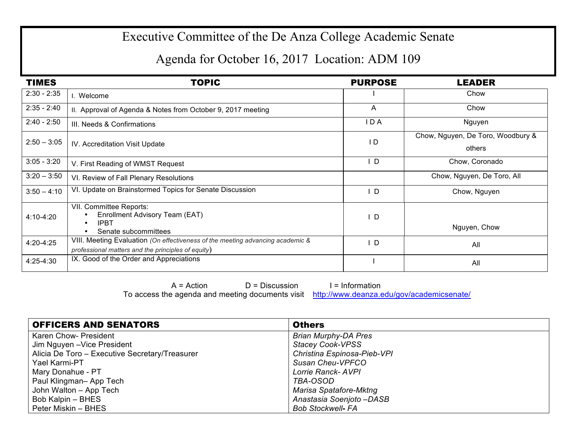## Executive Committee of the De Anza College Academic Senate

## Agenda for October 16, 2017 Location: ADM 109

| <b>TIMES</b>  | <b>TOPIC</b>                                                                                                                         | <b>PURPOSE</b> | <b>LEADER</b>                               |
|---------------|--------------------------------------------------------------------------------------------------------------------------------------|----------------|---------------------------------------------|
| $2:30 - 2:35$ | Welcome                                                                                                                              |                | Chow                                        |
| $2:35 - 2:40$ | II. Approval of Agenda & Notes from October 9, 2017 meeting                                                                          | A              | Chow                                        |
| $2:40 - 2:50$ | III. Needs & Confirmations                                                                                                           | I D A          | Nguyen                                      |
| $2:50 - 3:05$ | IV. Accreditation Visit Update                                                                                                       | $\overline{D}$ | Chow, Nguyen, De Toro, Woodbury &<br>others |
| $3:05 - 3:20$ | V. First Reading of WMST Request                                                                                                     | <sup>D</sup>   | Chow, Coronado                              |
| $3:20 - 3:50$ | VI. Review of Fall Plenary Resolutions                                                                                               |                | Chow, Nguyen, De Toro, All                  |
| $3:50 - 4:10$ | VI. Update on Brainstormed Topics for Senate Discussion                                                                              | D              | Chow, Nguyen                                |
| 4:10-4:20     | VII. Committee Reports:<br>Enrollment Advisory Team (EAT)<br><b>IPBT</b><br>$\bullet$<br>Senate subcommittees                        | D              | Nguyen, Chow                                |
| 4:20-4:25     | VIII. Meeting Evaluation (On effectiveness of the meeting advancing academic &<br>professional matters and the principles of equity) | D              | All                                         |
| 4:25-4:30     | IX. Good of the Order and Appreciations                                                                                              |                | All                                         |

 $A = Action$   $D = Discussion$  I = Information To access the agenda and meeting documents visit http://www.deanza.edu/gov/academicsenate/

| <b>OFFICERS AND SENATORS</b>                   | <b>Others</b>               |
|------------------------------------------------|-----------------------------|
| Karen Chow- President                          | <b>Brian Murphy-DA Pres</b> |
| Jim Nguyen - Vice President                    | <b>Stacey Cook-VPSS</b>     |
| Alicia De Toro – Executive Secretary/Treasurer | Christina Espinosa-Pieb-VPI |
| Yael Karmi-PT                                  | Susan Cheu-VPFCO            |
| Mary Donahue - PT                              | Lorrie Ranck- AVPI          |
| Paul Klingman- App Tech                        | TBA-OSOD                    |
| John Walton - App Tech                         | Marisa Spatafore-Mktng      |
| Bob Kalpin - BHES                              | Anastasia Soenjoto-DASB     |
| Peter Miskin – BHES                            | <b>Bob Stockwell- FA</b>    |